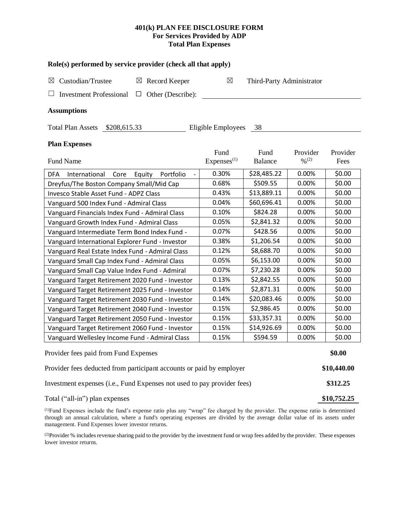# **401(k) PLAN FEE DISCLOSURE FORM For Services Provided by ADP Total Plan Expenses**

| Role(s) performed by service provider (check all that apply)            |                                |                           |                                          |                  |  |  |  |  |  |
|-------------------------------------------------------------------------|--------------------------------|---------------------------|------------------------------------------|------------------|--|--|--|--|--|
| Custodian/Trustee<br>Record Keeper<br>⊠<br>$\boxtimes$                  | $\boxtimes$                    | Third-Party Administrator |                                          |                  |  |  |  |  |  |
| <b>Investment Professional</b><br>Other (Describe):<br>⊔                |                                |                           |                                          |                  |  |  |  |  |  |
| <b>Assumptions</b>                                                      |                                |                           |                                          |                  |  |  |  |  |  |
| Eligible Employees<br>Total Plan Assets \$208,615.33<br>- 38            |                                |                           |                                          |                  |  |  |  |  |  |
| <b>Plan Expenses</b>                                                    |                                |                           |                                          |                  |  |  |  |  |  |
| Fund Name                                                               | Fund<br>Express <sup>(1)</sup> | Fund<br><b>Balance</b>    | Provider<br>$\frac{0}{2}$ <sup>(2)</sup> | Provider<br>Fees |  |  |  |  |  |
| <b>DFA</b><br>Portfolio<br>International<br>Core<br>Equity              | 0.30%                          | \$28,485.22               | 0.00%                                    | \$0.00           |  |  |  |  |  |
| Dreyfus/The Boston Company Small/Mid Cap                                | 0.68%                          | \$509.55                  | 0.00%                                    | \$0.00           |  |  |  |  |  |
| Invesco Stable Asset Fund - ADPZ Class                                  | 0.43%                          | \$13,889.11               | 0.00%                                    | \$0.00           |  |  |  |  |  |
| Vanguard 500 Index Fund - Admiral Class                                 | 0.04%                          | \$60,696.41               | 0.00%                                    | \$0.00           |  |  |  |  |  |
| Vanguard Financials Index Fund - Admiral Class                          | 0.10%                          | \$824.28                  | 0.00%                                    | \$0.00           |  |  |  |  |  |
| Vanguard Growth Index Fund - Admiral Class                              | 0.05%                          | \$2,841.32                | 0.00%                                    | \$0.00           |  |  |  |  |  |
| Vanguard Intermediate Term Bond Index Fund -                            | 0.07%                          | \$428.56                  | 0.00%                                    | \$0.00           |  |  |  |  |  |
| Vanguard International Explorer Fund - Investor                         | 0.38%                          | \$1,206.54                | 0.00%                                    | \$0.00           |  |  |  |  |  |
| Vanguard Real Estate Index Fund - Admiral Class                         | 0.12%                          | \$8,688.70                | 0.00%                                    | \$0.00           |  |  |  |  |  |
| Vanguard Small Cap Index Fund - Admiral Class                           | 0.05%                          | \$6,153.00                | 0.00%                                    | \$0.00           |  |  |  |  |  |
| Vanguard Small Cap Value Index Fund - Admiral                           | 0.07%                          | \$7,230.28                | 0.00%                                    | \$0.00           |  |  |  |  |  |
| Vanguard Target Retirement 2020 Fund - Investor                         | 0.13%                          | \$2,842.55                | 0.00%                                    | \$0.00           |  |  |  |  |  |
| Vanguard Target Retirement 2025 Fund - Investor                         | 0.14%                          | \$2,871.31                | 0.00%                                    | \$0.00           |  |  |  |  |  |
| Vanguard Target Retirement 2030 Fund - Investor                         | 0.14%                          | \$20,083.46               | 0.00%                                    | \$0.00           |  |  |  |  |  |
| Vanguard Target Retirement 2040 Fund - Investor                         | 0.15%                          | \$2,986.45                | 0.00%                                    | \$0.00           |  |  |  |  |  |
| Vanguard Target Retirement 2050 Fund - Investor                         | 0.15%                          | \$33,357.31               | 0.00%                                    | \$0.00           |  |  |  |  |  |
| Vanguard Target Retirement 2060 Fund - Investor                         | 0.15%                          | \$14,926.69               | 0.00%                                    | \$0.00           |  |  |  |  |  |
| Vanguard Wellesley Income Fund - Admiral Class                          | 0.15%                          | \$594.59                  | 0.00%                                    | \$0.00           |  |  |  |  |  |
| Provider fees paid from Fund Expenses                                   |                                |                           |                                          |                  |  |  |  |  |  |
| Provider fees deducted from participant accounts or paid by employer    |                                |                           |                                          |                  |  |  |  |  |  |
| Investment expenses (i.e., Fund Expenses not used to pay provider fees) |                                |                           |                                          |                  |  |  |  |  |  |
| Total ("all-in") plan expenses                                          |                                |                           |                                          |                  |  |  |  |  |  |

(1)Fund Expenses include the fund's expense ratio plus any "wrap" fee charged by the provider. The expense ratio is determined through an annual calculation, where a fund's operating expenses are divided by the average dollar value of its assets under management. Fund Expenses lower investor returns.

(2) Provider % includes revenue sharing paid to the provider by the investment fund or wrap fees added by the provider. These expenses lower investor returns.